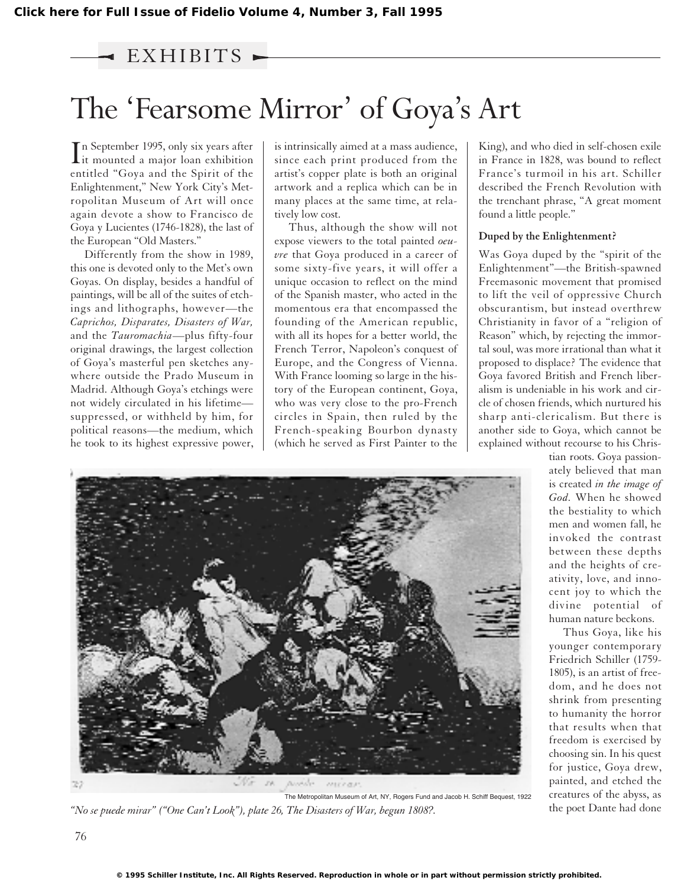# EXHIBITS

# The 'Fearsome Mirror' of Goya's Art

In September 1995, only six years after<br>it mounted a major loan exhibition it mounted a major loan exhibition entitled "Goya and the Spirit of the Enlightenment," New York City's Metropolitan Museum of Art will once again devote a show to Francisco de Goya y Lucientes (1746-1828), the last of the European "Old Masters."

Differently from the show in 1989, this one is devoted only to the Met's own Goyas. On display, besides a handful of paintings, will be all of the suites of etchings and lithographs, however—the *Caprichos, Disparates, Disasters of War,* and the *Tauromachia*—plus fifty-four original drawings, the largest collection of Goya's masterful pen sketches anywhere outside the Prado Museum in Madrid. Although Goya's etchings were not widely circulated in his lifetime suppressed, or withheld by him, for political reasons—the medium, which he took to its highest expressive power,

is intrinsically aimed at a mass audience, since each print produced from the artist's copper plate is both an original artwork and a replica which can be in many places at the same time, at relatively low cost.

Thus, although the show will not expose viewers to the total painted *oeuvre* that Goya produced in a career of some sixty-five years, it will offer a unique occasion to reflect on the mind of the Spanish master, who acted in the momentous era that encompassed the founding of the American republic, with all its hopes for a better world, the French Terror, Napoleon's conquest of Europe, and the Congress of Vienna. With France looming so large in the history of the European continent, Goya, who was very close to the pro-French circles in Spain, then ruled by the French-speaking Bourbon dynasty (which he served as First Painter to the

King), and who died in self-chosen exile in France in 1828, was bound to reflect France's turmoil in his art. Schiller described the French Revolution with the trenchant phrase, "A great moment found a little people."

#### **Duped by the Enlightenment?**

Was Goya duped by the "spirit of the Enlightenment"—the British-spawned Freemasonic movement that promised to lift the veil of oppressive Church obscurantism, but instead overthrew Christianity in favor of a "religion of Reason" which, by rejecting the immortal soul, was more irrational than what it proposed to displace? The evidence that Goya favored British and French liberalism is undeniable in his work and circle of chosen friends, which nurtured his sharp anti-clericalism. But there is another side to Goya, which cannot be explained without recourse to his Chris-

> tian roots. Goya passionately believed that man is created *in the image of God.* When he showed the bestiality to which men and women fall, he invoked the contrast between these depths and the heights of creativity, love, and innocent joy to which the divine potential of human nature beckons.

Thus Goya, like his younger contemporary Friedrich Schiller (1759- 1805), is an artist of freedom, and he does not shrink from presenting to humanity the horror that results when that freedom is exercised by choosing sin. In his quest for justice, Goya drew, painted, and etched the creatures of the abyss, as the poet Dante had done



The Metropolitan Museum of Art, NY, Rogers Fund and Jacob H. Schiff Bequest, 1922 *"No se puede mirar" ("One Can't Look"), plate 26, The Disasters of War, begun 1808?.*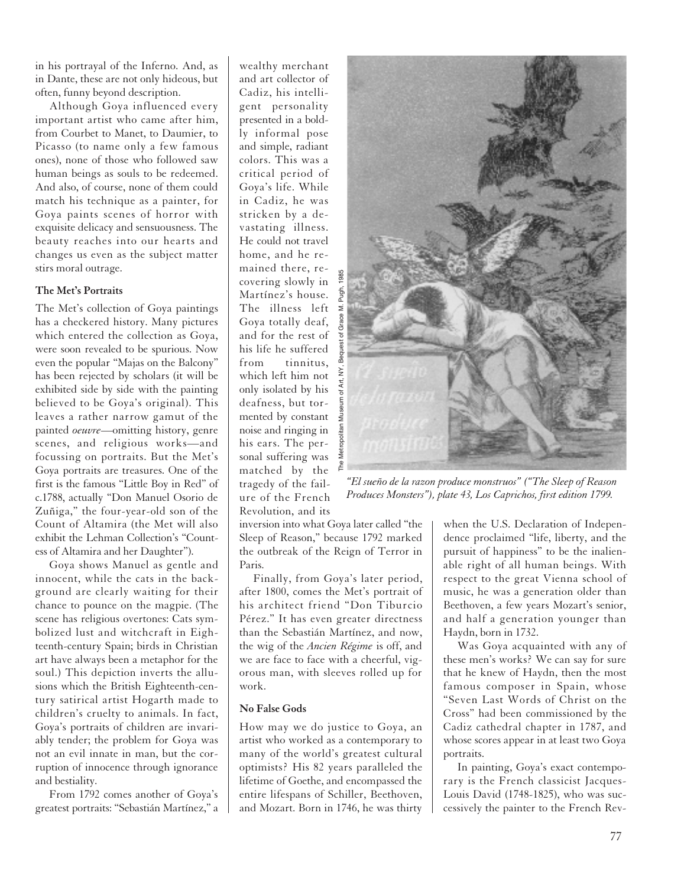in his portrayal of the Inferno. And, as in Dante, these are not only hideous, but often, funny beyond description.

Although Goya influenced every important artist who came after him, from Courbet to Manet, to Daumier, to Picasso (to name only a few famous ones), none of those who followed saw human beings as souls to be redeemed. And also, of course, none of them could match his technique as a painter, for Goya paints scenes of horror with exquisite delicacy and sensuousness. The beauty reaches into our hearts and changes us even as the subject matter stirs moral outrage.

## **The Met's Portraits**

The Met's collection of Goya paintings has a checkered history. Many pictures which entered the collection as Goya, were soon revealed to be spurious. Now even the popular "Majas on the Balcony" has been rejected by scholars (it will be exhibited side by side with the painting believed to be Goya's original). This leaves a rather narrow gamut of the painted *oeuvre*—omitting history, genre scenes, and religious works—and focussing on portraits. But the Met's Goya portraits are treasures. One of the first is the famous "Little Boy in Red" of c.1788, actually "Don Manuel Osorio de Zuñiga," the four-year-old son of the Count of Altamira (the Met will also exhibit the Lehman Collection's "Countess of Altamira and her Daughter").

Goya shows Manuel as gentle and innocent, while the cats in the background are clearly waiting for their chance to pounce on the magpie. (The scene has religious overtones: Cats symbolized lust and witchcraft in Eighteenth-century Spain; birds in Christian art have always been a metaphor for the soul.) This depiction inverts the allusions which the British Eighteenth-century satirical artist Hogarth made to children's cruelty to animals. In fact, Goya's portraits of children are invariably tender; the problem for Goya was not an evil innate in man, but the corruption of innocence through ignorance and bestiality.

From 1792 comes another of Goya's greatest portraits: "Sebastián Martínez," a wealthy merchant and art collector of Cadiz, his intelligent personality presented in a boldly informal pose and simple, radiant colors. This was a critical period of Goya's life. While in Cadiz, he was stricken by a devastating illness. He could not travel home, and he remained there, recovering slowly in Martínez's house. The illness left  $\leq$ Goya totally deaf, and for the rest of his life he suffered from tinnitus, which left him not only isolated by his deafness, but tormented by constant noise and ringing in his ears. The personal suffering was matched by the tragedy of the failure of the French Revolution, and its

inversion into what Goya later called "the Sleep of Reason," because 1792 marked the outbreak of the Reign of Terror in Paris.

Finally, from Goya's later period, after 1800, comes the Met's portrait of his architect friend "Don Tiburcio Pérez." It has even greater directness than the Sebastián Martínez, and now, the wig of the *Ancien Régime* is off, and we are face to face with a cheerful, vigorous man, with sleeves rolled up for work.

### **No False Gods**

How may we do justice to Goya, an artist who worked as a contemporary to many of the world's greatest cultural optimists? His 82 years paralleled the lifetime of Goethe, and encompassed the entire lifespans of Schiller, Beethoven, and Mozart. Born in 1746, he was thirty



*"El sueño de la razon produce monstruos" ("The Sleep of Reason Produces Monsters"), plate 43, Los Caprichos, first edition 1799.*

when the U.S. Declaration of Independence proclaimed "life, liberty, and the pursuit of happiness" to be the inalienable right of all human beings. With respect to the great Vienna school of music, he was a generation older than Beethoven, a few years Mozart's senior, and half a generation younger than Haydn, born in 1732.

Was Goya acquainted with any of these men's works? We can say for sure that he knew of Haydn, then the most famous composer in Spain, whose "Seven Last Words of Christ on the Cross" had been commissioned by the Cadiz cathedral chapter in 1787, and whose scores appear in at least two Goya portraits.

In painting, Goya's exact contemporary is the French classicist Jacques-Louis David (1748-1825), who was successively the painter to the French Rev-